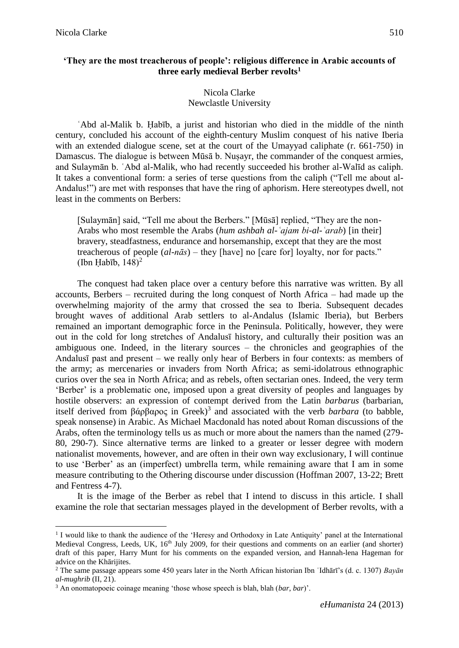1

## **'They are the most treacherous of people': religious difference in Arabic accounts of three early medieval Berber revolts<sup>1</sup>**

## Nicola Clarke Newclastle University

ʿAbd al-Malik b. Ḥabīb, a jurist and historian who died in the middle of the ninth century, concluded his account of the eighth-century Muslim conquest of his native Iberia with an extended dialogue scene, set at the court of the Umayyad caliphate (r. 661-750) in Damascus. The dialogue is between Mūsā b. Nusayr, the commander of the conquest armies, and Sulaymān b. ʿAbd al-Malik, who had recently succeeded his brother al-Walīd as caliph. It takes a conventional form: a series of terse questions from the caliph ("Tell me about al-Andalus!") are met with responses that have the ring of aphorism. Here stereotypes dwell, not least in the comments on Berbers:

[Sulaymān] said, "Tell me about the Berbers." [Mūsā] replied, "They are the non-Arabs who most resemble the Arabs (*hum ashbah al-ʿajam bi-al-ʿarab*) [in their] bravery, steadfastness, endurance and horsemanship, except that they are the most treacherous of people (*al-nās*) – they [have] no [care for] loyalty, nor for pacts." (Ibn Habīb,  $148$ )<sup>2</sup>

The conquest had taken place over a century before this narrative was written. By all accounts, Berbers – recruited during the long conquest of North Africa – had made up the overwhelming majority of the army that crossed the sea to Iberia. Subsequent decades brought waves of additional Arab settlers to al-Andalus (Islamic Iberia), but Berbers remained an important demographic force in the Peninsula. Politically, however, they were out in the cold for long stretches of Andalusī history, and culturally their position was an ambiguous one. Indeed, in the literary sources – the chronicles and geographies of the Andalusī past and present – we really only hear of Berbers in four contexts: as members of the army; as mercenaries or invaders from North Africa; as semi-idolatrous ethnographic curios over the sea in North Africa; and as rebels, often sectarian ones. Indeed, the very term 'Berber' is a problematic one, imposed upon a great diversity of peoples and languages by hostile observers: an expression of contempt derived from the Latin *barbarus* (barbarian, itself derived from βάρβαρος in Greek) 3 and associated with the verb *barbara* (to babble, speak nonsense) in Arabic. As Michael Macdonald has noted about Roman discussions of the Arabs, often the terminology tells us as much or more about the namers than the named (279- 80, 290-7). Since alternative terms are linked to a greater or lesser degree with modern nationalist movements, however, and are often in their own way exclusionary, I will continue to use 'Berber' as an (imperfect) umbrella term, while remaining aware that I am in some measure contributing to the Othering discourse under discussion (Hoffman 2007, 13-22; Brett and Fentress 4-7).

It is the image of the Berber as rebel that I intend to discuss in this article. I shall examine the role that sectarian messages played in the development of Berber revolts, with a

<sup>&</sup>lt;sup>1</sup> I would like to thank the audience of the 'Heresy and Orthodoxy in Late Antiquity' panel at the International Medieval Congress, Leeds, UK, 16<sup>th</sup> July 2009, for their questions and comments on an earlier (and shorter) draft of this paper, Harry Munt for his comments on the expanded version, and Hannah-lena Hageman for advice on the Khārijites.

<sup>2</sup> The same passage appears some 450 years later in the North African historian Ibn ʿIdhārī's (d. c. 1307) *Bayān al-mughrib* (II, 21).

<sup>3</sup> An onomatopoeic coinage meaning 'those whose speech is blah, blah (*bar*, *bar*)'.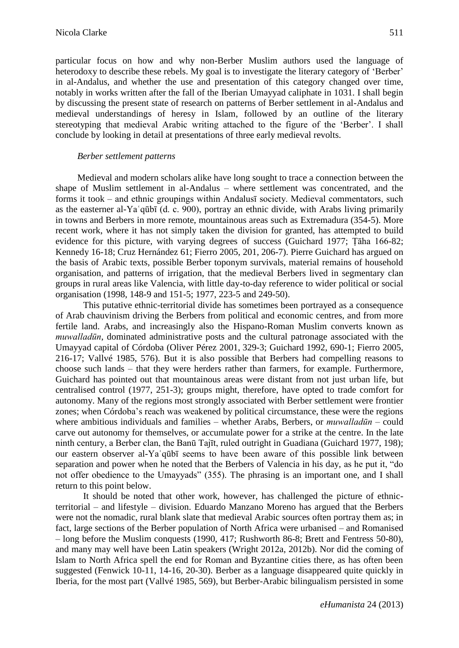particular focus on how and why non-Berber Muslim authors used the language of heterodoxy to describe these rebels. My goal is to investigate the literary category of 'Berber' in al-Andalus, and whether the use and presentation of this category changed over time, notably in works written after the fall of the Iberian Umayyad caliphate in 1031. I shall begin by discussing the present state of research on patterns of Berber settlement in al-Andalus and medieval understandings of heresy in Islam, followed by an outline of the literary stereotyping that medieval Arabic writing attached to the figure of the 'Berber'. I shall conclude by looking in detail at presentations of three early medieval revolts.

#### *Berber settlement patterns*

Medieval and modern scholars alike have long sought to trace a connection between the shape of Muslim settlement in al-Andalus – where settlement was concentrated, and the forms it took – and ethnic groupings within Andalusī society. Medieval commentators, such as the easterner al-Yaʿqūbī (d. c. 900), portray an ethnic divide, with Arabs living primarily in towns and Berbers in more remote, mountainous areas such as Extremadura (354-5). More recent work, where it has not simply taken the division for granted, has attempted to build evidence for this picture, with varying degrees of success (Guichard 1977; Ṭāha 166-82; Kennedy 16-18; Cruz Hernández 61; Fierro 2005, 201, 206-7). Pierre Guichard has argued on the basis of Arabic texts, possible Berber toponym survivals, material remains of household organisation, and patterns of irrigation, that the medieval Berbers lived in segmentary clan groups in rural areas like Valencia, with little day-to-day reference to wider political or social organisation (1998, 148-9 and 151-5; 1977, 223-5 and 249-50).

This putative ethnic-territorial divide has sometimes been portrayed as a consequence of Arab chauvinism driving the Berbers from political and economic centres, and from more fertile land. Arabs, and increasingly also the Hispano-Roman Muslim converts known as *muwalladūn*, dominated administrative posts and the cultural patronage associated with the Umayyad capital of Córdoba (Oliver Pérez 2001, 329-3; Guichard 1992, 690-1; Fierro 2005, 216-17; Vallvé 1985, 576). But it is also possible that Berbers had compelling reasons to choose such lands – that they were herders rather than farmers, for example. Furthermore, Guichard has pointed out that mountainous areas were distant from not just urban life, but centralised control (1977, 251-3); groups might, therefore, have opted to trade comfort for autonomy. Many of the regions most strongly associated with Berber settlement were frontier zones; when Córdoba's reach was weakened by political circumstance, these were the regions where ambitious individuals and families – whether Arabs, Berbers, or *muwalladūn* – could carve out autonomy for themselves, or accumulate power for a strike at the centre. In the late ninth century, a Berber clan, the Banū Tajīt, ruled outright in Guadiana (Guichard 1977, 198); our eastern observer al-Yaʿqūbī seems to have been aware of this possible link between separation and power when he noted that the Berbers of Valencia in his day, as he put it, "do not offer obedience to the Umayyads" (355). The phrasing is an important one, and I shall return to this point below.

It should be noted that other work, however, has challenged the picture of ethnicterritorial – and lifestyle – division. Eduardo Manzano Moreno has argued that the Berbers were not the nomadic, rural blank slate that medieval Arabic sources often portray them as; in fact, large sections of the Berber population of North Africa were urbanised – and Romanised – long before the Muslim conquests (1990, 417; Rushworth 86-8; Brett and Fentress 50-80), and many may well have been Latin speakers (Wright 2012a, 2012b). Nor did the coming of Islam to North Africa spell the end for Roman and Byzantine cities there, as has often been suggested (Fenwick 10-11, 14-16, 20-30). Berber as a language disappeared quite quickly in Iberia, for the most part (Vallvé 1985, 569), but Berber-Arabic bilingualism persisted in some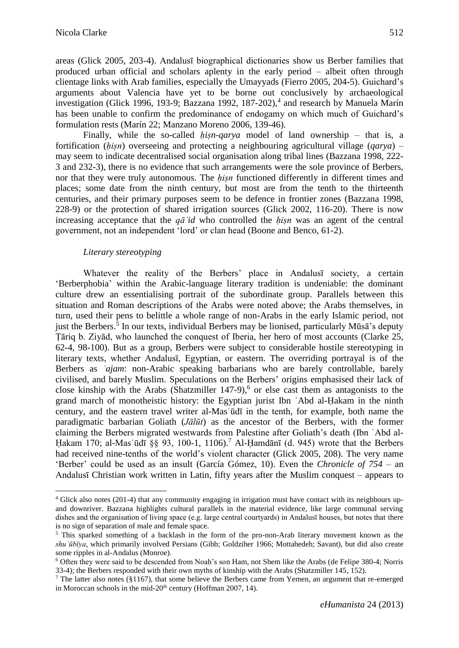areas (Glick 2005, 203-4). Andalusī biographical dictionaries show us Berber families that produced urban official and scholars aplenty in the early period – albeit often through clientage links with Arab families, especially the Umayyads (Fierro 2005, 204-5). Guichard's arguments about Valencia have yet to be borne out conclusively by archaeological investigation (Glick 1996, 193-9; Bazzana 1992, 187-202), 4 and research by Manuela Marín has been unable to confirm the predominance of endogamy on which much of Guichard's formulation rests (Marín 22; Manzano Moreno 2006, 139-46).

Finally, while the so-called *hisn-qarya* model of land ownership – that is, a fortification (*ḥiṣn*) overseeing and protecting a neighbouring agricultural village (*qarya*) – may seem to indicate decentralised social organisation along tribal lines (Bazzana 1998, 222- 3 and 232-3), there is no evidence that such arrangements were the sole province of Berbers, nor that they were truly autonomous. The *ḥiṣn* functioned differently in different times and places; some date from the ninth century, but most are from the tenth to the thirteenth centuries, and their primary purposes seem to be defence in frontier zones (Bazzana 1998, 228-9) or the protection of shared irrigation sources (Glick 2002, 116-20). There is now increasing acceptance that the *qāʾid* who controlled the *ḥiṣn* was an agent of the central government, not an independent 'lord' or clan head (Boone and Benco, 61-2).

#### *Literary stereotyping*

1

Whatever the reality of the Berbers' place in Andalusī society, a certain 'Berberphobia' within the Arabic-language literary tradition is undeniable: the dominant culture drew an essentialising portrait of the subordinate group. Parallels between this situation and Roman descriptions of the Arabs were noted above; the Arabs themselves, in turn, used their pens to belittle a whole range of non-Arabs in the early Islamic period, not just the Berbers. 5 In our texts, individual Berbers may be lionised, particularly Mūsā's deputy Ṭāriq b. Ziyād, who launched the conquest of Iberia, her hero of most accounts (Clarke 25, 62-4, 98-100). But as a group, Berbers were subject to considerable hostile stereotyping in literary texts, whether Andalusī, Egyptian, or eastern. The overriding portrayal is of the Berbers as *ʿajam*: non-Arabic speaking barbarians who are barely controllable, barely civilised, and barely Muslim. Speculations on the Berbers' origins emphasised their lack of close kinship with the Arabs (Shatzmiller 147-9), 6 or else cast them as antagonists to the grand march of monotheistic history: the Egyptian jurist Ibn ʿAbd al-Ḥakam in the ninth century, and the eastern travel writer al-Masʿūdī in the tenth, for example, both name the paradigmatic barbarian Goliath (*Jālūt*) as the ancestor of the Berbers, with the former claiming the Berbers migrated westwards from Palestine after Goliath's death (Ibn ʿAbd al-Hakam 170; al-Mas ūdī §§ 93, 100-1, 1106).<sup>7</sup> Al-Ḥamdānī (d. 945) wrote that the Berbers had received nine-tenths of the world's violent character (Glick 2005, 208). The very name 'Berber' could be used as an insult (García Gómez, 10). Even the *Chronicle of 754* – an Andalusī Christian work written in Latin, fifty years after the Muslim conquest – appears to

<sup>&</sup>lt;sup>4</sup> Glick also notes (201-4) that any community engaging in irrigation must have contact with its neighbours upand downriver. Bazzana highlights cultural parallels in the material evidence, like large communal serving dishes and the organisation of living space (e.g. large central courtyards) in Andalusī houses, but notes that there is no sign of separation of male and female space.

<sup>5</sup> This sparked something of a backlash in the form of the pro-non-Arab literary movement known as the *shuʿūbīya*, which primarily involved Persians (Gibb; Goldziher 1966; Mottahedeh; Savant), but did also create some ripples in al-Andalus (Monroe).

<sup>6</sup> Often they were said to be descended from Noah's son Ham, not Shem like the Arabs (de Felipe 380-4; Norris 33-4); the Berbers responded with their own myths of kinship with the Arabs (Shatzmiller 145, 152).

<sup>&</sup>lt;sup>7</sup> The latter also notes ( $§1167$ ), that some believe the Berbers came from Yemen, an argument that re-emerged in Moroccan schools in the mid- $20<sup>th</sup>$  century (Hoffman 2007, 14).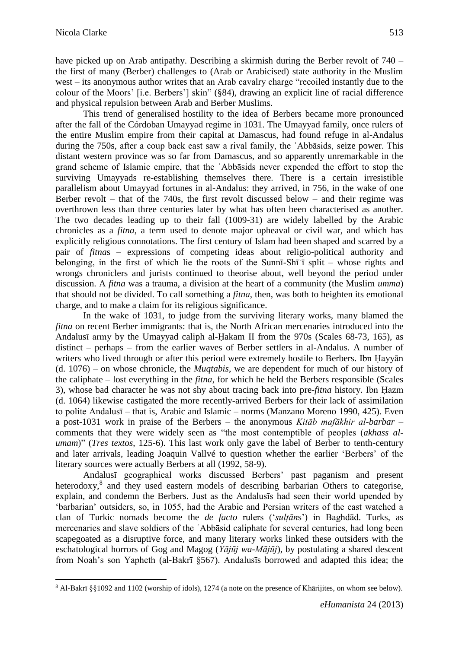1

have picked up on Arab antipathy. Describing a skirmish during the Berber revolt of 740 – the first of many (Berber) challenges to (Arab or Arabicised) state authority in the Muslim west – its anonymous author writes that an Arab cavalry charge "recoiled instantly due to the colour of the Moors' [i.e. Berbers'] skin" (§84), drawing an explicit line of racial difference and physical repulsion between Arab and Berber Muslims.

This trend of generalised hostility to the idea of Berbers became more pronounced after the fall of the Córdoban Umayyad regime in 1031. The Umayyad family, once rulers of the entire Muslim empire from their capital at Damascus, had found refuge in al-Andalus during the 750s, after a coup back east saw a rival family, the ʿAbbāsids, seize power. This distant western province was so far from Damascus, and so apparently unremarkable in the grand scheme of Islamic empire, that the ʿAbbāsids never expended the effort to stop the surviving Umayyads re-establishing themselves there. There is a certain irresistible parallelism about Umayyad fortunes in al-Andalus: they arrived, in 756, in the wake of one Berber revolt – that of the 740s, the first revolt discussed below – and their regime was overthrown less than three centuries later by what has often been characterised as another. The two decades leading up to their fall (1009-31) are widely labelled by the Arabic chronicles as a *fitna*, a term used to denote major upheaval or civil war, and which has explicitly religious connotations. The first century of Islam had been shaped and scarred by a pair of *fitna*s – expressions of competing ideas about religio-political authority and belonging, in the first of which lie the roots of the Sunnī-Shīʿī split – whose rights and wrongs chroniclers and jurists continued to theorise about, well beyond the period under discussion. A *fitna* was a trauma, a division at the heart of a community (the Muslim *umma*) that should not be divided. To call something a *fitna*, then, was both to heighten its emotional charge, and to make a claim for its religious significance.

In the wake of 1031, to judge from the surviving literary works, many blamed the *fitna* on recent Berber immigrants: that is, the North African mercenaries introduced into the Andalusī army by the Umayyad caliph al-Ḥakam II from the 970s (Scales 68-73, 165), as distinct – perhaps – from the earlier waves of Berber settlers in al-Andalus. A number of writers who lived through or after this period were extremely hostile to Berbers. Ibn Ḥayyān (d. 1076) – on whose chronicle, the *Muqtabis*, we are dependent for much of our history of the caliphate – lost everything in the *fitna*, for which he held the Berbers responsible (Scales 3), whose bad character he was not shy about tracing back into pre-*fitna* history. Ibn Ḥazm (d. 1064) likewise castigated the more recently-arrived Berbers for their lack of assimilation to polite Andalusī – that is, Arabic and Islamic – norms (Manzano Moreno 1990, 425). Even a post-1031 work in praise of the Berbers – the anonymous *Kitāb mafākhir al-barbar* – comments that they were widely seen as "the most contemptible of peoples (*akhass alumam*)" (*Tres textos*, 125-6). This last work only gave the label of Berber to tenth-century and later arrivals, leading Joaquin Vallvé to question whether the earlier 'Berbers' of the literary sources were actually Berbers at all (1992, 58-9).

Andalusī geographical works discussed Berbers' past paganism and present heterodoxy,<sup>8</sup> and they used eastern models of describing barbarian Others to categorise, explain, and condemn the Berbers. Just as the Andalusīs had seen their world upended by 'barbarian' outsiders, so, in 1055, had the Arabic and Persian writers of the east watched a clan of Turkic nomads become the *de facto* rulers ('*sulṭān*s') in Baghdād. Turks, as mercenaries and slave soldiers of the ʿAbbāsid caliphate for several centuries, had long been scapegoated as a disruptive force, and many literary works linked these outsiders with the eschatological horrors of Gog and Magog (*Yājūj wa-Mājūj*), by postulating a shared descent from Noah's son Yapheth (al-Bakrī §567). Andalusīs borrowed and adapted this idea; the

<sup>8</sup> Al-Bakrī §§1092 and 1102 (worship of idols), 1274 (a note on the presence of Khārijites, on whom see below).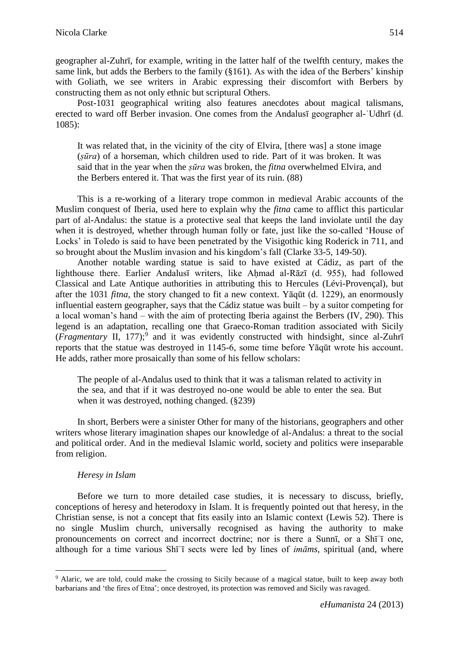geographer al-Zuhrī, for example, writing in the latter half of the twelfth century, makes the same link, but adds the Berbers to the family (§161). As with the idea of the Berbers' kinship with Goliath, we see writers in Arabic expressing their discomfort with Berbers by constructing them as not only ethnic but scriptural Others.

Post-1031 geographical writing also features anecdotes about magical talismans, erected to ward off Berber invasion. One comes from the Andalusī geographer al-ʿUdhrī (d. 1085):

It was related that, in the vicinity of the city of Elvira, [there was] a stone image (*ṣūra*) of a horseman, which children used to ride. Part of it was broken. It was said that in the year when the *ṣūra* was broken, the *fitna* overwhelmed Elvira, and the Berbers entered it. That was the first year of its ruin. (88)

This is a re-working of a literary trope common in medieval Arabic accounts of the Muslim conquest of Iberia, used here to explain why the *fitna* came to afflict this particular part of al-Andalus: the statue is a protective seal that keeps the land inviolate until the day when it is destroyed, whether through human folly or fate, just like the so-called 'House of Locks' in Toledo is said to have been penetrated by the Visigothic king Roderick in 711, and so brought about the Muslim invasion and his kingdom's fall (Clarke 33-5, 149-50).

Another notable warding statue is said to have existed at Cádiz, as part of the lighthouse there. Earlier Andalusī writers, like Aḥmad al-Rāzī (d. 955), had followed Classical and Late Antique authorities in attributing this to Hercules (Lévi-Provençal), but after the 1031 *fitna*, the story changed to fit a new context. Yāqūt (d. 1229), an enormously influential eastern geographer, says that the Cádiz statue was built – by a suitor competing for a local woman's hand – with the aim of protecting Iberia against the Berbers (IV, 290). This legend is an adaptation, recalling one that Graeco-Roman tradition associated with Sicily (*Fragmentary* II, 177); 9 and it was evidently constructed with hindsight, since al-Zuhrī reports that the statue was destroyed in 1145-6, some time before Yāqūt wrote his account. He adds, rather more prosaically than some of his fellow scholars:

The people of al-Andalus used to think that it was a talisman related to activity in the sea, and that if it was destroyed no-one would be able to enter the sea. But when it was destroyed, nothing changed. (§239)

In short, Berbers were a sinister Other for many of the historians, geographers and other writers whose literary imagination shapes our knowledge of al-Andalus: a threat to the social and political order. And in the medieval Islamic world, society and politics were inseparable from religion.

## *Heresy in Islam*

1

Before we turn to more detailed case studies, it is necessary to discuss, briefly, conceptions of heresy and heterodoxy in Islam. It is frequently pointed out that heresy, in the Christian sense, is not a concept that fits easily into an Islamic context (Lewis 52). There is no single Muslim church, universally recognised as having the authority to make pronouncements on correct and incorrect doctrine; nor is there a Sunnī, or a Shīʿī one, although for a time various Shīʿī sects were led by lines of *imāms*, spiritual (and, where

<sup>9</sup> Alaric, we are told, could make the crossing to Sicily because of a magical statue, built to keep away both barbarians and 'the fires of Etna'; once destroyed, its protection was removed and Sicily was ravaged.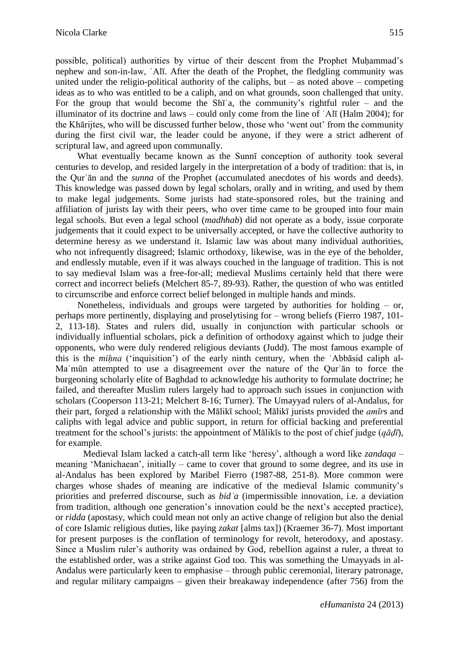possible, political) authorities by virtue of their descent from the Prophet Muhammad's nephew and son-in-law, ʿAlī. After the death of the Prophet, the fledgling community was united under the religio-political authority of the caliphs, but – as noted above – competing ideas as to who was entitled to be a caliph, and on what grounds, soon challenged that unity. For the group that would become the  $\text{Sh}^{\dagger}$  a, the community's rightful ruler – and the illuminator of its doctrine and laws – could only come from the line of ʿAlī (Halm 2004); for the Khārijtes, who will be discussed further below, those who 'went out' from the community during the first civil war, the leader could be anyone, if they were a strict adherent of scriptural law, and agreed upon communally.

What eventually became known as the Sunnī conception of authority took several centuries to develop, and resided largely in the interpretation of a body of tradition: that is, in the Qurʾān and the *sunna* of the Prophet (accumulated anecdotes of his words and deeds). This knowledge was passed down by legal scholars, orally and in writing, and used by them to make legal judgements. Some jurists had state-sponsored roles, but the training and affiliation of jurists lay with their peers, who over time came to be grouped into four main legal schools. But even a legal school (*madhhab*) did not operate as a body, issue corporate judgements that it could expect to be universally accepted, or have the collective authority to determine heresy as we understand it. Islamic law was about many individual authorities, who not infrequently disagreed; Islamic orthodoxy, likewise, was in the eye of the beholder, and endlessly mutable, even if it was always couched in the language of tradition. This is not to say medieval Islam was a free-for-all; medieval Muslims certainly held that there were correct and incorrect beliefs (Melchert 85-7, 89-93). Rather, the question of who was entitled to circumscribe and enforce correct belief belonged in multiple hands and minds.

Nonetheless, individuals and groups were targeted by authorities for holding – or, perhaps more pertinently, displaying and proselytising for – wrong beliefs (Fierro 1987, 101- 2, 113-18). States and rulers did, usually in conjunction with particular schools or individually influential scholars, pick a definition of orthodoxy against which to judge their opponents, who were duly rendered religious deviants (Judd). The most famous example of this is the *mihna* ('inquisition') of the early ninth century, when the 'Abbasid caliph al-Maʾmūn attempted to use a disagreement over the nature of the Qurʾān to force the burgeoning scholarly elite of Baghdad to acknowledge his authority to formulate doctrine; he failed, and thereafter Muslim rulers largely had to approach such issues in conjunction with scholars (Cooperson 113-21; Melchert 8-16; Turner). The Umayyad rulers of al-Andalus, for their part, forged a relationship with the Mālikī school; Mālikī jurists provided the *amīr*s and caliphs with legal advice and public support, in return for official backing and preferential treatment for the school's jurists: the appointment of Mālikīs to the post of chief judge (*qāḍī*), for example.

Medieval Islam lacked a catch-all term like 'heresy', although a word like *zandaqa* – meaning 'Manichaean', initially – came to cover that ground to some degree, and its use in al-Andalus has been explored by Maribel Fierro (1987-88, 251-8). More common were charges whose shades of meaning are indicative of the medieval Islamic community's priorities and preferred discourse, such as *bidʿa* (impermissible innovation, i.e. a deviation from tradition, although one generation's innovation could be the next's accepted practice), or *ridda* (apostasy, which could mean not only an active change of religion but also the denial of core Islamic religious duties, like paying *zakat* [alms tax]) (Kraemer 36-7). Most important for present purposes is the conflation of terminology for revolt, heterodoxy, and apostasy. Since a Muslim ruler's authority was ordained by God, rebellion against a ruler, a threat to the established order, was a strike against God too. This was something the Umayyads in al-Andalus were particularly keen to emphasise – through public ceremonial, literary patronage, and regular military campaigns – given their breakaway independence (after 756) from the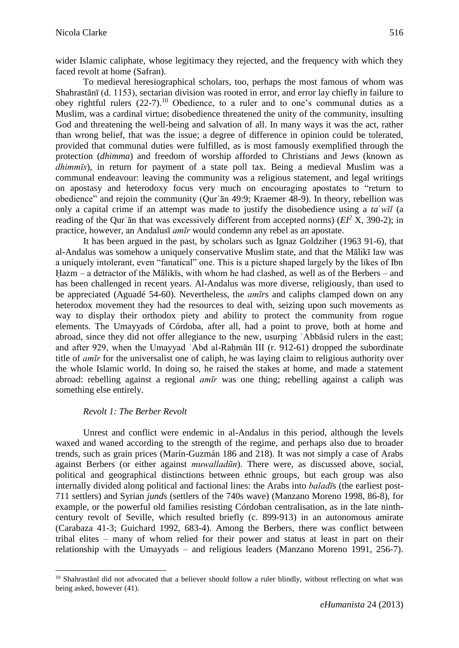wider Islamic caliphate, whose legitimacy they rejected, and the frequency with which they faced revolt at home (Safran).

To medieval heresiographical scholars, too, perhaps the most famous of whom was Shahrastānī (d. 1153), sectarian division was rooted in error, and error lay chiefly in failure to obey rightful rulers  $(22-7)$ .<sup>10</sup> Obedience, to a ruler and to one's communal duties as a Muslim, was a cardinal virtue; disobedience threatened the unity of the community, insulting God and threatening the well-being and salvation of all. In many ways it was the act, rather than wrong belief, that was the issue; a degree of difference in opinion could be tolerated, provided that communal duties were fulfilled, as is most famously exemplified through the protection (*dhimma*) and freedom of worship afforded to Christians and Jews (known as *dhimmīs*), in return for payment of a state poll tax. Being a medieval Muslim was a communal endeavour: leaving the community was a religious statement, and legal writings on apostasy and heterodoxy focus very much on encouraging apostates to "return to obedience" and rejoin the community (Qurʾān 49:9; Kraemer 48-9). In theory, rebellion was only a capital crime if an attempt was made to justify the disobedience using a *ta*ʿ*wīl* (a reading of the Qurʾān that was excessively different from accepted norms) (*EI<sup>2</sup>* X, 390-2); in practice, however, an Andalusī *amīr* would condemn any rebel as an apostate.

It has been argued in the past, by scholars such as Ignaz Goldziher (1963 91-6), that al-Andalus was somehow a uniquely conservative Muslim state, and that the Mālikī law was a uniquely intolerant, even "fanatical" one. This is a picture shaped largely by the likes of Ibn Hazm – a detractor of the Mālikīs, with whom he had clashed, as well as of the Berbers – and has been challenged in recent years. Al-Andalus was more diverse, religiously, than used to be appreciated (Aguadé 54-60). Nevertheless, the *amīr*s and caliphs clamped down on any heterodox movement they had the resources to deal with, seizing upon such movements as way to display their orthodox piety and ability to protect the community from rogue elements. The Umayyads of Córdoba, after all, had a point to prove, both at home and abroad, since they did not offer allegiance to the new, usurping ʿAbbāsid rulers in the east; and after 929, when the Umayyad 'Abd al-Rahmān III (r. 912-61) dropped the subordinate title of *amīr* for the universalist one of caliph, he was laying claim to religious authority over the whole Islamic world. In doing so, he raised the stakes at home, and made a statement abroad: rebelling against a regional *amīr* was one thing; rebelling against a caliph was something else entirely.

## *Revolt 1: The Berber Revolt*

1

Unrest and conflict were endemic in al-Andalus in this period, although the levels waxed and waned according to the strength of the regime, and perhaps also due to broader trends, such as grain prices (Marín-Guzmán 186 and 218). It was not simply a case of Arabs against Berbers (or either against *muwalladūn*). There were, as discussed above, social, political and geographical distinctions between ethnic groups, but each group was also internally divided along political and factional lines: the Arabs into *baladī*s (the earliest post-711 settlers) and Syrian *jund*s (settlers of the 740s wave) (Manzano Moreno 1998, 86-8), for example, or the powerful old families resisting Córdoban centralisation, as in the late ninthcentury revolt of Seville, which resulted briefly (c. 899-913) in an autonomous amirate (Carabaza 41-3; Guichard 1992, 683-4). Among the Berbers, there was conflict between tribal elites – many of whom relied for their power and status at least in part on their relationship with the Umayyads – and religious leaders (Manzano Moreno 1991, 256-7).

<sup>&</sup>lt;sup>10</sup> Shahrastānī did not advocated that a believer should follow a ruler blindly, without reflecting on what was being asked, however (41).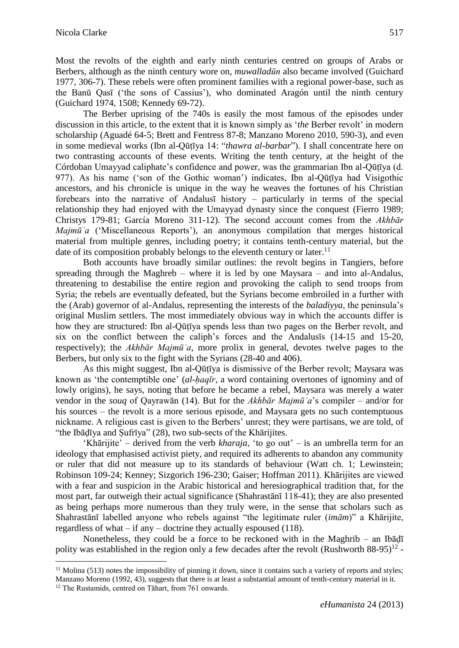Most the revolts of the eighth and early ninth centuries centred on groups of Arabs or Berbers, although as the ninth century wore on, *muwalladūn* also became involved (Guichard 1977, 306-7). These rebels were often prominent families with a regional power-base, such as the Banū Qasī ('the sons of Cassius'), who dominated Aragón until the ninth century (Guichard 1974, 1508; Kennedy 69-72).

The Berber uprising of the 740s is easily the most famous of the episodes under discussion in this article, to the extent that it is known simply as '*the* Berber revolt' in modern scholarship (Aguadé 64-5; Brett and Fentress 87-8; Manzano Moreno 2010, 590-3), and even in some medieval works (Ibn al-Qūṭīya 14: "*thawra al-barbar*"). I shall concentrate here on two contrasting accounts of these events. Writing the tenth century, at the height of the Córdoban Umayyad caliphate's confidence and power, was the grammarian Ibn al-Qūṭīya (d. 977). As his name ('son of the Gothic woman') indicates, Ibn al-Qūṭīya had Visigothic ancestors, and his chronicle is unique in the way he weaves the fortunes of his Christian forebears into the narrative of Andalusī history – particularly in terms of the special relationship they had enjoyed with the Umayyad dynasty since the conquest (Fierro 1989; Christys 179-81; García Moreno 311-12). The second account comes from the *Akhbār Majmūʿa* ('Miscellaneous Reports'), an anonymous compilation that merges historical material from multiple genres, including poetry; it contains tenth-century material, but the date of its composition probably belongs to the eleventh century or later.<sup>11</sup>

Both accounts have broadly similar outlines: the revolt begins in Tangiers, before spreading through the Maghreb – where it is led by one Maysara – and into al-Andalus, threatening to destabilise the entire region and provoking the caliph to send troops from Syria; the rebels are eventually defeated, but the Syrians become embroiled in a further with the (Arab) governor of al-Andalus, representing the interests of the *baladiyya*, the peninsula's original Muslim settlers. The most immediately obvious way in which the accounts differ is how they are structured: Ibn al-Qūṭīya spends less than two pages on the Berber revolt, and six on the conflict between the caliph's forces and the Andalusīs (14-15 and 15-20, respectively); the *Akhbār Majmūʿa*, more prolix in general, devotes twelve pages to the Berbers, but only six to the fight with the Syrians (28-40 and 406).

As this might suggest, Ibn al-Qūtīya is dismissive of the Berber revolt; Maysara was known as 'the contemptible one' (*al-ḥaqīr*, a word containing overtones of ignominy and of lowly origins), he says, noting that before he became a rebel, Maysara was merely a water vendor in the *souq* of Qayrawān (14). But for the *Akhbār Majmūʿa*'s compiler – and/or for his sources – the revolt is a more serious episode, and Maysara gets no such contemptuous nickname. A religious cast is given to the Berbers' unrest; they were partisans, we are told, of "the Ibāḍīya and Ṣufrīya" (28), two sub-sects of the Khārijites.

'Khārijite' – derived from the verb *kharaja*, 'to go out' – is an umbrella term for an ideology that emphasised activist piety, and required its adherents to abandon any community or ruler that did not measure up to its standards of behaviour (Watt ch. 1; Lewinstein; Robinson 109-24; Kenney; Sizgorich 196-230; Gaiser; Hoffman 2011). Khārijites are viewed with a fear and suspicion in the Arabic historical and heresiographical tradition that, for the most part, far outweigh their actual significance (Shahrastānī 118-41); they are also presented as being perhaps more numerous than they truly were, in the sense that scholars such as Shahrastānī labelled anyone who rebels against "the legitimate ruler (*imām*)" a Khārijite, regardless of what – if any – doctrine they actually espoused (118).

Nonetheless, they could be a force to be reckoned with in the Maghrib – an Ibāḍī polity was established in the region only a few decades after the revolt (Rushworth  $88-95$ )<sup>12</sup> -

<u>.</u>

 $11$  Molina (513) notes the impossibility of pinning it down, since it contains such a variety of reports and styles; Manzano Moreno (1992, 43), suggests that there is at least a substantial amount of tenth-century material in it.

<sup>&</sup>lt;sup>12</sup> The Rustamids, centred on Tāhart, from 761 onwards.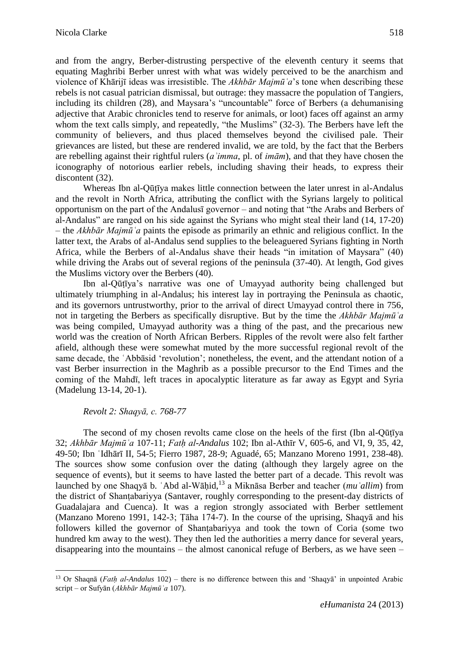and from the angry, Berber-distrusting perspective of the eleventh century it seems that equating Maghribi Berber unrest with what was widely perceived to be the anarchism and violence of Khārijī ideas was irresistible. The *Akhbār Majmūʿa*'s tone when describing these rebels is not casual patrician dismissal, but outrage: they massacre the population of Tangiers, including its children (28), and Maysara's "uncountable" force of Berbers (a dehumanising adjective that Arabic chronicles tend to reserve for animals, or loot) faces off against an army whom the text calls simply, and repeatedly, "the Muslims" (32-3). The Berbers have left the community of believers, and thus placed themselves beyond the civilised pale. Their grievances are listed, but these are rendered invalid, we are told, by the fact that the Berbers are rebelling against their rightful rulers (*aʾimma*, pl. of *imām*), and that they have chosen the iconography of notorious earlier rebels, including shaving their heads, to express their discontent (32).

Whereas Ibn al-Qūṭīya makes little connection between the later unrest in al-Andalus and the revolt in North Africa, attributing the conflict with the Syrians largely to political opportunism on the part of the Andalusī governor – and noting that "the Arabs and Berbers of al-Andalus" are ranged on his side against the Syrians who might steal their land (14, 17-20) – the *Akhbār Majmūʿa* paints the episode as primarily an ethnic and religious conflict. In the latter text, the Arabs of al-Andalus send supplies to the beleaguered Syrians fighting in North Africa, while the Berbers of al-Andalus shave their heads "in imitation of Maysara" (40) while driving the Arabs out of several regions of the peninsula (37-40). At length, God gives the Muslims victory over the Berbers (40).

Ibn al-Qūṭīya's narrative was one of Umayyad authority being challenged but ultimately triumphing in al-Andalus; his interest lay in portraying the Peninsula as chaotic, and its governors untrustworthy, prior to the arrival of direct Umayyad control there in 756, not in targeting the Berbers as specifically disruptive. But by the time the *Akhbār Majmūʿa* was being compiled, Umayyad authority was a thing of the past, and the precarious new world was the creation of North African Berbers. Ripples of the revolt were also felt farther afield, although these were somewhat muted by the more successful regional revolt of the same decade, the ʿAbbāsid 'revolution'; nonetheless, the event, and the attendant notion of a vast Berber insurrection in the Maghrib as a possible precursor to the End Times and the coming of the Mahdī, left traces in apocalyptic literature as far away as Egypt and Syria (Madelung 13-14, 20-1).

## *Revolt 2: Shaqyā, c. 768-77*

1

The second of my chosen revolts came close on the heels of the first (Ibn al-Qūṭīya 32; *Akhbār Majmūʿa* 107-11; *Fatḥ al-Andalus* 102; Ibn al-Athīr V, 605-6, and VI, 9, 35, 42, 49-50; Ibn ʿIdhārī II, 54-5; Fierro 1987, 28-9; Aguadé, 65; Manzano Moreno 1991, 238-48). The sources show some confusion over the dating (although they largely agree on the sequence of events), but it seems to have lasted the better part of a decade. This revolt was launched by one Shaqyā b. ʿAbd al-Wāḥid, <sup>13</sup> a Miknāsa Berber and teacher (*muʿallim*) from the district of Shanṭabariyya (Santaver, roughly corresponding to the present-day districts of Guadalajara and Cuenca). It was a region strongly associated with Berber settlement (Manzano Moreno 1991, 142-3; Ṭāha 174-7). In the course of the uprising, Shaqyā and his followers killed the governor of Shanṭabariyya and took the town of Coria (some two hundred km away to the west). They then led the authorities a merry dance for several years, disappearing into the mountains – the almost canonical refuge of Berbers, as we have seen –

<sup>13</sup> Or Shaqnā (*Fatḥ al-Andalus* 102) – there is no difference between this and 'Shaqyā' in unpointed Arabic script – or Sufyān (*Akhbār Majmūʿa* 107).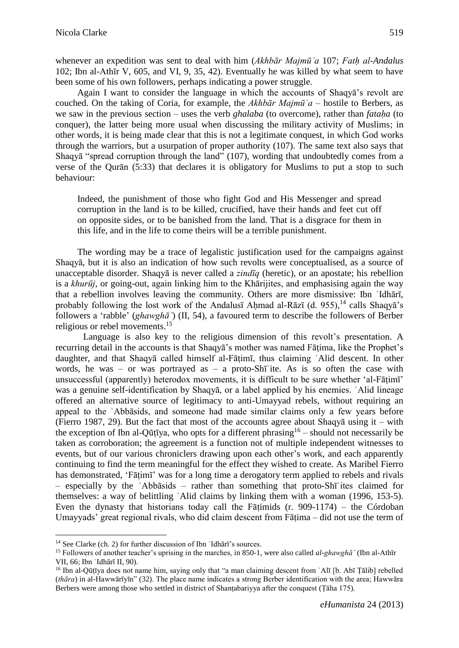whenever an expedition was sent to deal with him (*Akhbār Majmū*  $a$  107; *Fath al-Andalus* 102; Ibn al-Athīr V, 605, and VI, 9, 35, 42). Eventually he was killed by what seem to have been some of his own followers, perhaps indicating a power struggle.

Again I want to consider the language in which the accounts of Shaqyā's revolt are couched. On the taking of Coria, for example, the *Akhbār Majmūʿa* – hostile to Berbers, as we saw in the previous section – uses the verb *ghalaba* (to overcome), rather than *fataha* (to conquer), the latter being more usual when discussing the military activity of Muslims; in other words, it is being made clear that this is not a legitimate conquest, in which God works through the warriors, but a usurpation of proper authority (107). The same text also says that Shaqyā "spread corruption through the land" (107), wording that undoubtedly comes from a verse of the Qurān (5:33) that declares it is obligatory for Muslims to put a stop to such behaviour:

Indeed, the punishment of those who fight God and His Messenger and spread corruption in the land is to be killed, crucified, have their hands and feet cut off on opposite sides, or to be banished from the land. That is a disgrace for them in this life, and in the life to come theirs will be a terrible punishment.

The wording may be a trace of legalistic justification used for the campaigns against Shaqyā, but it is also an indication of how such revolts were conceptualised, as a source of unacceptable disorder. Shaqyā is never called a *zindīq* (heretic), or an apostate; his rebellion is a *khurūj*, or going-out, again linking him to the Khārijites, and emphasising again the way that a rebellion involves leaving the community. Others are more dismissive: Ibn ʿIdhārī, probably following the lost work of the Andalusī Ahmad al-Rāzī (d. 955), <sup>14</sup> calls Shaqyā's followers a 'rabble' (*ghawghāʾ*) (II, 54), a favoured term to describe the followers of Berber religious or rebel movements. 15

Language is also key to the religious dimension of this revolt's presentation. A recurring detail in the accounts is that Shaqyā's mother was named Fāṭima, like the Prophet's daughter, and that Shaqyā called himself al-Fāṭimī, thus claiming ʿAlid descent. In other words, he was – or was portrayed as – a proto-Sh $\overline{a}$  ite. As is so often the case with unsuccessful (apparently) heterodox movements, it is difficult to be sure whether 'al-Fāṭimī' was a genuine self-identification by Shaqyā, or a label applied by his enemies. ʿAlid lineage offered an alternative source of legitimacy to anti-Umayyad rebels, without requiring an appeal to the ʿAbbāsids, and someone had made similar claims only a few years before (Fierro 1987, 29). But the fact that most of the accounts agree about Shaqyā using it – with the exception of Ibn al-Qūṭīya, who opts for a different phrasing  $16$  – should not necessarily be taken as corroboration; the agreement is a function not of multiple independent witnesses to events, but of our various chroniclers drawing upon each other's work, and each apparently continuing to find the term meaningful for the effect they wished to create. As Maribel Fierro has demonstrated, 'Fāṭimī' was for a long time a derogatory term applied to rebels and rivals – especially by the ʿAbbāsids – rather than something that proto-Shīʿites claimed for themselves: a way of belittling ʿAlid claims by linking them with a woman (1996, 153-5). Even the dynasty that historians today call the Fatimids  $(r. 909-1174)$  – the Córdoban Umayyads' great regional rivals, who did claim descent from Fāṭima – did not use the term of

1

<sup>&</sup>lt;sup>14</sup> See Clarke (ch. 2) for further discussion of Ibn 'Idhārī's sources.

<sup>15</sup> Followers of another teacher's uprising in the marches, in 850-1, were also called *al-ghawghā'* (Ibn al-Athīr VII, 66; Ibn ʿIdhārī II, 90).

<sup>16</sup> Ibn al-Qūṭīya does not name him, saying only that "a man claiming descent from ʿAlī [b. Abī Ṭālib] rebelled (*thāra*) in al-Hawwārīyīn" (32). The place name indicates a strong Berber identification with the area; Hawwāra Berbers were among those who settled in district of Shanṭabariyya after the conquest (Ṭāha 175).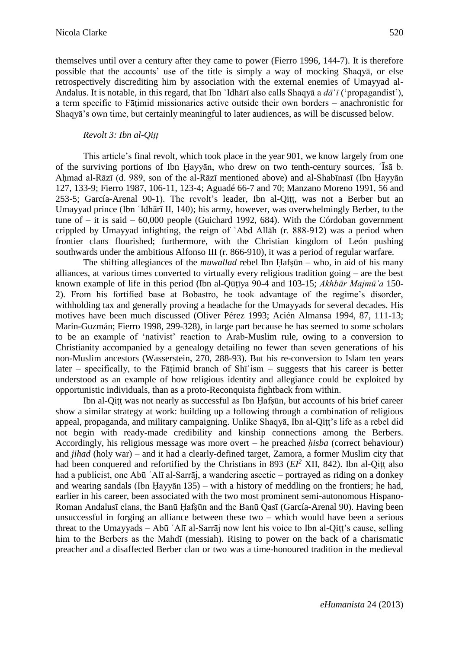themselves until over a century after they came to power (Fierro 1996, 144-7). It is therefore possible that the accounts' use of the title is simply a way of mocking Shaqyā, or else retrospectively discrediting him by association with the external enemies of Umayyad al-Andalus. It is notable, in this regard, that Ibn ʿIdhārī also calls Shaqyā a *dā*ʿ*ī* ('propagandist'), a term specific to Fāṭimid missionaries active outside their own borders – anachronistic for Shaqyā's own time, but certainly meaningful to later audiences, as will be discussed below.

## *Revolt 3: Ibn al-Qiṭṭ*

This article's final revolt, which took place in the year 901, we know largely from one of the surviving portions of Ibn Ḥayyān, who drew on two tenth-century sources, ʿĪsā b. Aḥmad al-Rāzī (d. 989, son of the al-Rāzī mentioned above) and al-Shabīnasī (Ibn Ḥayyān 127, 133-9; Fierro 1987, 106-11, 123-4; Aguadé 66-7 and 70; Manzano Moreno 1991, 56 and 253-5; García-Arenal 90-1). The revolt's leader, Ibn al-Qiṭṭ, was not a Berber but an Umayyad prince (Ibn ʿIdhārī II, 140); his army, however, was overwhelmingly Berber, to the tune of  $-$  it is said  $-$  60,000 people (Guichard 1992, 684). With the Córdoban government crippled by Umayyad infighting, the reign of ʿAbd Allāh (r. 888-912) was a period when frontier clans flourished; furthermore, with the Christian kingdom of León pushing southwards under the ambitious Alfonso III (r. 866-910), it was a period of regular warfare.

The shifting allegiances of the *muwallad* rebel Ibn Ḥafṣūn – who, in aid of his many alliances, at various times converted to virtually every religious tradition going – are the best known example of life in this period (Ibn al-Qūṭīya 90-4 and 103-15; *Akhbār Majmūʿa* 150- 2). From his fortified base at Bobastro, he took advantage of the regime's disorder, withholding tax and generally proving a headache for the Umayyads for several decades. His motives have been much discussed (Oliver Pérez 1993; Acién Almansa 1994, 87, 111-13; Marín-Guzmán; Fierro 1998, 299-328), in large part because he has seemed to some scholars to be an example of 'nativist' reaction to Arab-Muslim rule, owing to a conversion to Christianity accompanied by a genealogy detailing no fewer than seven generations of his non-Muslim ancestors (Wasserstein, 270, 288-93). But his re-conversion to Islam ten years later – specifically, to the Fātimid branch of  $\text{Sh}^{\text{t}}\text{ism}$  – suggests that his career is better understood as an example of how religious identity and allegiance could be exploited by opportunistic individuals, than as a proto-Reconquista fightback from within.

Ibn al-Qiṭṭ was not nearly as successful as Ibn Ḥafṣūn, but accounts of his brief career show a similar strategy at work: building up a following through a combination of religious appeal, propaganda, and military campaigning. Unlike Shaqyā, Ibn al-Qiṭṭ's life as a rebel did not begin with ready-made credibility and kinship connections among the Berbers. Accordingly, his religious message was more overt – he preached *ḥisba* (correct behaviour) and *jihad* (holy war) – and it had a clearly-defined target, Zamora, a former Muslim city that had been conquered and refortified by the Christians in 893 ( $EI^2$  XII, 842). Ibn al-Oitt also had a publicist, one Abū ʿAlī al-Sarrāj, a wandering ascetic – portrayed as riding on a donkey and wearing sandals (Ibn Ḥayyān 135) – with a history of meddling on the frontiers; he had, earlier in his career, been associated with the two most prominent semi-autonomous Hispano-Roman Andalusī clans, the Banū Ḥafṣūn and the Banū Qasī (García-Arenal 90). Having been unsuccessful in forging an alliance between these two – which would have been a serious threat to the Umayyads – Abū ʿAlī al-Sarrāj now lent his voice to Ibn al-Qiṭṭ's cause, selling him to the Berbers as the Mahdī (messiah). Rising to power on the back of a charismatic preacher and a disaffected Berber clan or two was a time-honoured tradition in the medieval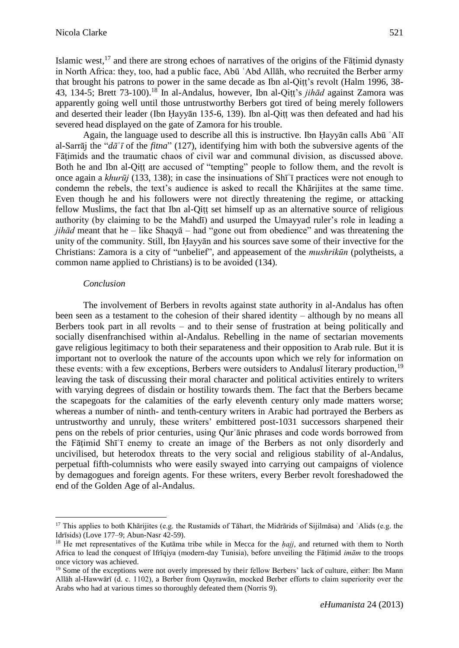Islamic west,<sup>17</sup> and there are strong echoes of narratives of the origins of the Fāṭimid dynasty in North Africa: they, too, had a public face, Abū ʿAbd Allāh, who recruited the Berber army that brought his patrons to power in the same decade as Ibn al-Qiṭṭ's revolt (Halm 1996, 38- 43, 134-5; Brett 73-100).<sup>18</sup> In al-Andalus, however, Ibn al-Qiṭṭ's *jihād* against Zamora was apparently going well until those untrustworthy Berbers got tired of being merely followers and deserted their leader (Ibn Ḥayyān 135-6, 139). Ibn al-Qiṭṭ was then defeated and had his severed head displayed on the gate of Zamora for his trouble.

Again, the language used to describe all this is instructive. Ibn Ḥayyān calls Abū ʿAlī al-Sarrāj the "*dā*ʿ*ī* of the *fitna*" (127), identifying him with both the subversive agents of the Fāṭimids and the traumatic chaos of civil war and communal division, as discussed above. Both he and Ibn al-Qiṭṭ are accused of "tempting" people to follow them, and the revolt is once again a *khurūj* (133, 138); in case the insinuations of Shīʿī practices were not enough to condemn the rebels, the text's audience is asked to recall the Khārijites at the same time. Even though he and his followers were not directly threatening the regime, or attacking fellow Muslims, the fact that Ibn al-Qitt set himself up as an alternative source of religious authority (by claiming to be the Mahdī) and usurped the Umayyad ruler's role in leading a *jihād* meant that he – like Shaqyā – had "gone out from obedience" and was threatening the unity of the community. Still, Ibn Ḥayyān and his sources save some of their invective for the Christians: Zamora is a city of "unbelief", and appeasement of the *mushrikūn* (polytheists, a common name applied to Christians) is to be avoided (134).

#### *Conclusion*

1

The involvement of Berbers in revolts against state authority in al-Andalus has often been seen as a testament to the cohesion of their shared identity – although by no means all Berbers took part in all revolts – and to their sense of frustration at being politically and socially disenfranchised within al-Andalus. Rebelling in the name of sectarian movements gave religious legitimacy to both their separateness and their opposition to Arab rule. But it is important not to overlook the nature of the accounts upon which we rely for information on these events: with a few exceptions, Berbers were outsiders to Andalusī literary production.<sup>19</sup> leaving the task of discussing their moral character and political activities entirely to writers with varying degrees of disdain or hostility towards them. The fact that the Berbers became the scapegoats for the calamities of the early eleventh century only made matters worse; whereas a number of ninth- and tenth-century writers in Arabic had portrayed the Berbers as untrustworthy and unruly, these writers' embittered post-1031 successors sharpened their pens on the rebels of prior centuries, using Qurʾānic phrases and code words borrowed from the Fāṭimid Shīʿī enemy to create an image of the Berbers as not only disorderly and uncivilised, but heterodox threats to the very social and religious stability of al-Andalus, perpetual fifth-columnists who were easily swayed into carrying out campaigns of violence by demagogues and foreign agents. For these writers, every Berber revolt foreshadowed the end of the Golden Age of al-Andalus.

<sup>&</sup>lt;sup>17</sup> This applies to both Khārijites (e.g. the Rustamids of Tāhart, the Midrārids of Sijilmāsa) and `Alids (e.g. the Idrīsids) (Love 177–9; Abun-Nasr 42-59).

<sup>18</sup> He met representatives of the Kutāma tribe while in Mecca for the *ḥajj*, and returned with them to North Africa to lead the conquest of Ifrīqiya (modern-day Tunisia), before unveiling the Fāṭimid *imām* to the troops once victory was achieved.

<sup>&</sup>lt;sup>19</sup> Some of the exceptions were not overly impressed by their fellow Berbers' lack of culture, either: Ibn Mann Allāh al-Hawwārī (d. c. 1102), a Berber from Qayrawān, mocked Berber efforts to claim superiority over the Arabs who had at various times so thoroughly defeated them (Norris 9).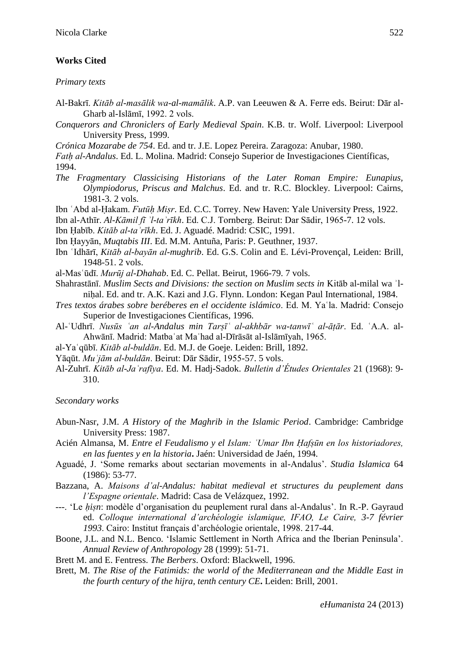# **Works Cited**

*Primary texts*

- Al-Bakrī. *Kitāb al-masālik wa-al-mamālik*. A.P. van Leeuwen & A. Ferre eds. Beirut: Dār al-Gharb al-Islāmī, 1992. 2 vols.
- *Conquerors and Chroniclers of Early Medieval Spain*. K.B. tr. Wolf. Liverpool: Liverpool University Press, 1999.
- *Crónica Mozarabe de 754*. Ed. and tr. J.E. Lopez Pereira. Zaragoza: Anubar, 1980.

*Fatḥ al-Andalus*. Ed. L. Molina. Madrid: Consejo Superior de Investigaciones Científicas, 1994.

*The Fragmentary Classicising Historians of the Later Roman Empire: Eunapius, Olympiodorus, Priscus and Malchus*. Ed. and tr. R.C. Blockley. Liverpool: Cairns, 1981-3. 2 vols.

Ibn ʿAbd al-Ḥakam. *Futūḥ Miṣr*. Ed. C.C. Torrey. New Haven: Yale University Press, 1922.

Ibn al-Athīr. *Al-Kāmil fī ʾl-taʾrīkh*. Ed. C.J. Tornberg. Beirut: Dar Sādir, 1965-7. 12 vols.

Ibn Ḥabīb. *Kitāb al-taʾrīkh*. Ed. J. Aguadé. Madrid: CSIC, 1991.

- Ibn Ḥayyān, *Muqtabis III*. Ed. M.M. Antuña, Paris: P. Geuthner, 1937.
- Ibn ʿIdhārī, *Kitāb al-bayān al-mughrib*. Ed. G.S. Colin and E. Lévi-Provençal, Leiden: Brill, 1948-51. 2 vols.

al-Masʿūdī. *Murūj al-Dhahab*. Ed. C. Pellat. Beirut, 1966-79. 7 vols.

- Shahrastānī. *Muslim Sects and Divisions: the section on Muslim sects in* Kitāb al-milal wa ʾlniḥal. Ed. and tr. A.K. Kazi and J.G. Flynn. London: Kegan Paul International, 1984.
- *Tres textos árabes sobre beréberes en el occidente islámico*. Ed. M. Yaʿla. Madrid: Consejo Superior de Investigaciones Científicas, 1996.
- Al-ʿUdhrī. *Nusūs ʿan al-Andalus min Tarṣīʿ al-akhbār wa-tanwīʿ al-āṭār*. Ed. ʿA.A. al-Ahwānī. Madrid: Matbaʿat Maʿhad al-Dīrāsāt al-Islāmīyah, 1965.
- al-Yaʿqūbī. *Kitāb al-buldān*. Ed. M.J. de Goeje. Leiden: Brill, 1892.
- Yāqūt. *Muʿjām al-buldān*. Beirut: Dār Sādir, 1955-57. 5 vols.
- Al-Zuhrī. *Kitāb al-Jaʿrafīya*. Ed. M. Hadj-Sadok. *Bulletin d'Études Orientales* 21 (1968): 9- 310.

*Secondary works*

- Abun-Nasr, J.M. *A History of the Maghrib in the Islamic Period*. Cambridge: Cambridge University Press: 1987.
- Acién Almansa, M. *Entre el Feudalismo y el Islam: ʿUmar Ibn Ḥafṣūn en los historiadores, en las fuentes y en la historia***.** Jaén: Universidad de Jaén, 1994.
- Aguadé, J. 'Some remarks about sectarian movements in al-Andalus'. *Studia Islamica* 64 (1986): 53-77.
- Bazzana, A. *Maisons d'al-Andalus: habitat medieval et structures du peuplement dans l'Espagne orientale*. Madrid: Casa de Velázquez, 1992.
- ---. 'Le *ḥiṣn*: modèle d'organisation du peuplement rural dans al-Andalus'. In R.-P. Gayraud ed. *Colloque international d'archéologie islamique, IFAO, Le Caire, 3-7 février 1993*. Cairo: Institut français d'archéologie orientale, 1998. 217-44.
- Boone, J.L. and N.L. Benco. 'Islamic Settlement in North Africa and the Iberian Peninsula'. *Annual Review of Anthropology* 28 (1999): 51-71.

Brett M. and E. Fentress. *The Berbers*. Oxford: Blackwell, 1996.

Brett, M. *The Rise of the Fatimids: the world of the Mediterranean and the Middle East in the fourth century of the hijra, tenth century CE***.** Leiden: Brill, 2001.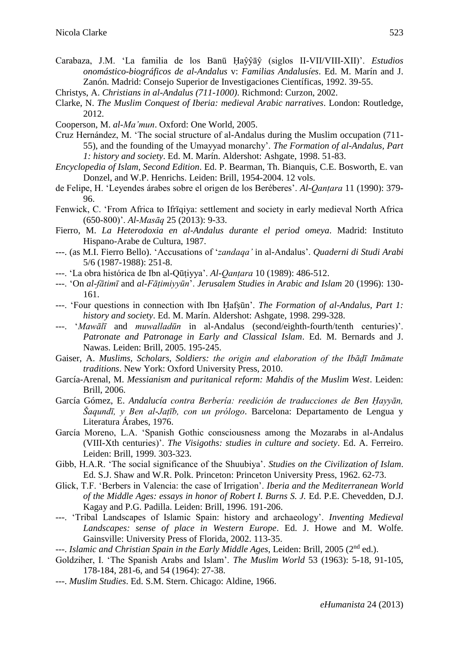Carabaza, J.M. 'La familia de los Banū Ḥaŷŷāŷ (siglos II-VII/VIII-XII)'. *Estudios onomástico-biográficos de al-Andalus* v: *Familias Andalusíes*. Ed. M. Marín and J. Zanón. Madrid: Consejo Superior de Investigaciones Científicas, 1992. 39-55.

- Clarke, N. *The Muslim Conquest of Iberia: medieval Arabic narratives*. London: Routledge, 2012.
- Cooperson, M. *al-Ma'mun*. Oxford: One World, 2005.
- Cruz Hernández, M. 'The social structure of al-Andalus during the Muslim occupation (711- 55), and the founding of the Umayyad monarchy'. *The Formation of al-Andalus, Part 1: history and society*. Ed. M. Marín. Aldershot: Ashgate, 1998. 51-83.
- *Encyclopedia of Islam, Second Edition*. Ed. P. Bearman, Th. Bianquis, C.E. Bosworth, E. van Donzel, and W.P. Henrichs. Leiden: Brill, 1954-2004. 12 vols.
- de Felipe, H. 'Leyendes árabes sobre el origen de los Beréberes'. *Al-Qanṭara* 11 (1990): 379- 96.
- Fenwick, C. 'From Africa to Ifrīqiya: settlement and society in early medieval North Africa (650-800)'. *Al-Masāq* 25 (2013): 9-33.
- Fierro, M. *La Heterodoxia en al-Andalus durante el period omeya*. Madrid: Instituto Hispano-Arabe de Cultura, 1987.
- ---. (as M.I. Fierro Bello). 'Accusations of '*zandaqa'* in al-Andalus'. *Quaderni di Studi Arabi* 5/6 (1987-1988): 251-8.
- ---. 'La obra histórica de Ibn al-Qūṭiyya'. *Al-Qanṭara* 10 (1989): 486-512.
- ---. 'On *al-fātimī* and *al-Fāṭimiyyūn*'. *Jerusalem Studies in Arabic and Islam* 20 (1996): 130- 161.
- ---. 'Four questions in connection with Ibn Ḥafṣūn'. *The Formation of al-Andalus, Part 1: history and society*. Ed. M. Marín. Aldershot: Ashgate, 1998. 299-328.
- '*Mawālī* and *muwalladūn* in al-Andalus (second/eighth-fourth/tenth centuries)'. *Patronate and Patronage in Early and Classical Islam*. Ed. M. Bernards and J. Nawas. Leiden: Brill, 2005. 195-245.
- Gaiser, A. *Muslims, Scholars, Soldiers: the origin and elaboration of the Ibāḍī Imāmate traditions*. New York: Oxford University Press, 2010.
- García-Arenal, M. *Messianism and puritanical reform: Mahdis of the Muslim West*. Leiden: Brill, 2006.
- García Gómez, E. *Andalucía contra Berbería: reedición de traducciones de Ben Ḥayyān, Šaqundī, y Ben al-Jaṭīb, con un prólogo*. Barcelona: Departamento de Lengua y Literatura Árabes, 1976.
- García Moreno, L.A. 'Spanish Gothic consciousness among the Mozarabs in al-Andalus (VIII-Xth centuries)'. *The Visigoths: studies in culture and society*. Ed. A. Ferreiro. Leiden: Brill, 1999. 303-323.
- Gibb, H.A.R. 'The social significance of the Shuubiya'. *Studies on the Civilization of Islam*. Ed. S.J. Shaw and W.R. Polk. Princeton: Princeton University Press, 1962. 62-73.
- Glick, T.F. 'Berbers in Valencia: the case of Irrigation'. *Iberia and the Mediterranean World of the Middle Ages: essays in honor of Robert I. Burns S. J.* Ed. P.E. Chevedden, D.J. Kagay and P.G. Padilla. Leiden: Brill, 1996. 191-206.
- ---. 'Tribal Landscapes of Islamic Spain: history and archaeology'. *Inventing Medieval Landscapes: sense of place in Western Europe*. Ed. J. Howe and M. Wolfe. Gainsville: University Press of Florida, 2002. 113-35.
- ---. *Islamic and Christian Spain in the Early Middle Ages*, Leiden: Brill, 2005 (2nd ed.).
- Goldziher, I. 'The Spanish Arabs and Islam'. *The Muslim World* 53 (1963): 5-18, 91-105, 178-184, 281-6, and 54 (1964): 27-38.
- ---. *Muslim Studies*. Ed. S.M. Stern. Chicago: Aldine, 1966.

Christys, A. *Christians in al-Andalus (711-1000)*. Richmond: Curzon, 2002.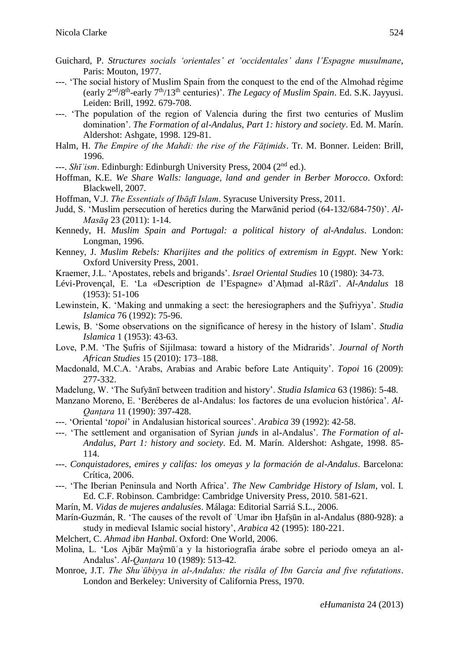- Guichard, P. *Structures socials 'orientales' et 'occidentales' dans l'Espagne musulmane*, Paris: Mouton, 1977.
- ---. 'The social history of Muslim Spain from the conquest to the end of the Almohad régime (early 2nd/8th -early 7th/13th centuries)'. *The Legacy of Muslim Spain*. Ed. S.K. Jayyusi. Leiden: Brill, 1992. 679-708.
- ---. 'The population of the region of Valencia during the first two centuries of Muslim domination'. *The Formation of al-Andalus, Part 1: history and society*. Ed. M. Marín. Aldershot: Ashgate, 1998. 129-81.
- Halm, H. *The Empire of the Mahdi: the rise of the Fāṭimids*. Tr. M. Bonner. Leiden: Brill, 1996.
- ---. *Shīʿism*. Edinburgh: Edinburgh University Press, 2004 (2nd ed.).
- Hoffman, K.E. *We Share Walls: language, land and gender in Berber Morocco*. Oxford: Blackwell, 2007.
- Hoffman, V.J. *The Essentials of Ibāḍī Islam*. Syracuse University Press, 2011.
- Judd, S. 'Muslim persecution of heretics during the Marwānid period (64-132/684-750)'. *Al-Masāq* 23 (2011): 1-14.
- Kennedy, H. *Muslim Spain and Portugal: a political history of al-Andalus*. London: Longman, 1996.
- Kenney, J. *Muslim Rebels: Kharijites and the politics of extremism in Egypt*. New York: Oxford University Press, 2001.
- Kraemer, J.L. 'Apostates, rebels and brigands'. *Israel Oriental Studies* 10 (1980): 34-73.
- Lévi-Provençal, E. 'La «Description de l'Espagne» d'Aḥmad al-Rāzī'. *Al-Andalus* 18 (1953): 51-106
- Lewinstein, K. 'Making and unmaking a sect: the heresiographers and the Ṣufriyya'. *Studia Islamica* 76 (1992): 75-96.
- Lewis, B. 'Some observations on the significance of heresy in the history of Islam'. *Studia Islamica* 1 (1953): 43-63.
- Love, P.M. 'The Ṣufris of Sijilmasa: toward a history of the Midrarids'. *Journal of North African Studies* 15 (2010): 173–188.
- Macdonald, M.C.A. 'Arabs, Arabias and Arabic before Late Antiquity'. *Topoi* 16 (2009): 277-332.
- Madelung, W. 'The Sufyānī between tradition and history'. *Studia Islamica* 63 (1986): 5-48.
- Manzano Moreno, E. 'Beréberes de al-Andalus: los factores de una evolucion histórica'. *Al-Qanṭara* 11 (1990): 397-428.
- ---. 'Oriental '*topoi*' in Andalusian historical sources'. *Arabica* 39 (1992): 42-58.
- ---. 'The settlement and organisation of Syrian *jund*s in al-Andalus'. *The Formation of al-Andalus, Part 1: history and society*. Ed. M. Marín. Aldershot: Ashgate, 1998. 85- 114.
- ---. *Conquistadores, emires y califas: los omeyas y la formación de al-Andalus*. Barcelona: Crítica, 2006.
- ---. 'The Iberian Peninsula and North Africa'. *The New Cambridge History of Islam*, vol. I. Ed. C.F. Robinson. Cambridge: Cambridge University Press, 2010. 581-621.
- Marín, M. *Vidas de mujeres andalusíes*. Málaga: Editorial Sarriá S.L., 2006.
- Marín-Guzmán, R. 'The causes of the revolt of ʿUmar ibn Ḥafṣūn in al-Andalus (880-928): a study in medieval Islamic social history', *Arabica* 42 (1995): 180-221.
- Melchert, C. *Ahmad ibn Hanbal*. Oxford: One World, 2006.
- Molina, L. 'Los Ajbār Maŷmūʿa y la historiografía árabe sobre el periodo omeya an al-Andalus'. *Al-Qanṭara* 10 (1989): 513-42.
- Monroe, J.T. *The Shuʿūbiyya in al-Andalus: the risāla of Ibn García and five refutations*. London and Berkeley: University of California Press, 1970.